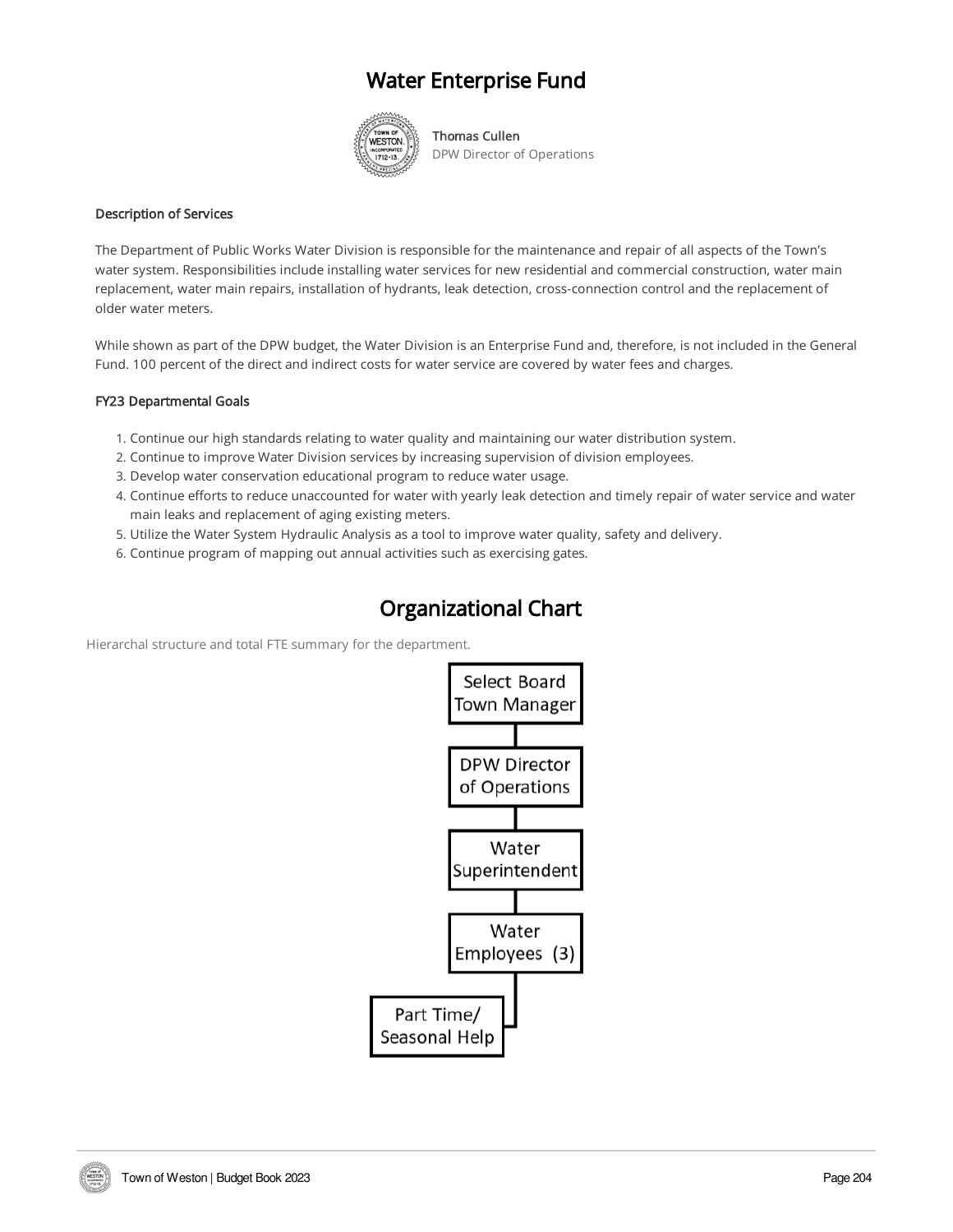# Water Enterprise Fund



Thomas Cullen DPW Director of Operations

#### Description of Services

The Department of Public Works Water Division is responsible for the maintenance and repair of all aspects of the Town's water system. Responsibilities include installing water services for new residential and commercial construction, water main replacement, water main repairs, installation of hydrants, leak detection, cross-connection control and the replacement of older water meters.

While shown as part of the DPW budget, the Water Division is an Enterprise Fund and, therefore, is not included in the General Fund. 100 percent of the direct and indirect costs for water service are covered by water fees and charges.

### FY23 Departmental Goals

- 1. Continue our high standards relating to water quality and maintaining our water distribution system.
- 2. Continue to improve Water Division services by increasing supervision of division employees.
- 3. Develop water conservation educational program to reduce water usage.
- 4. Continue efforts to reduce unaccounted for water with yearly leak detection and timely repair of water service and water main leaks and replacement of aging existing meters.
- 5. Utilize the Water System Hydraulic Analysis as a tool to improve water quality, safety and delivery.
- 6. Continue program of mapping out annual activities such as exercising gates.

### Organizational Chart

Hierarchal structure and total FTE summary for the department.

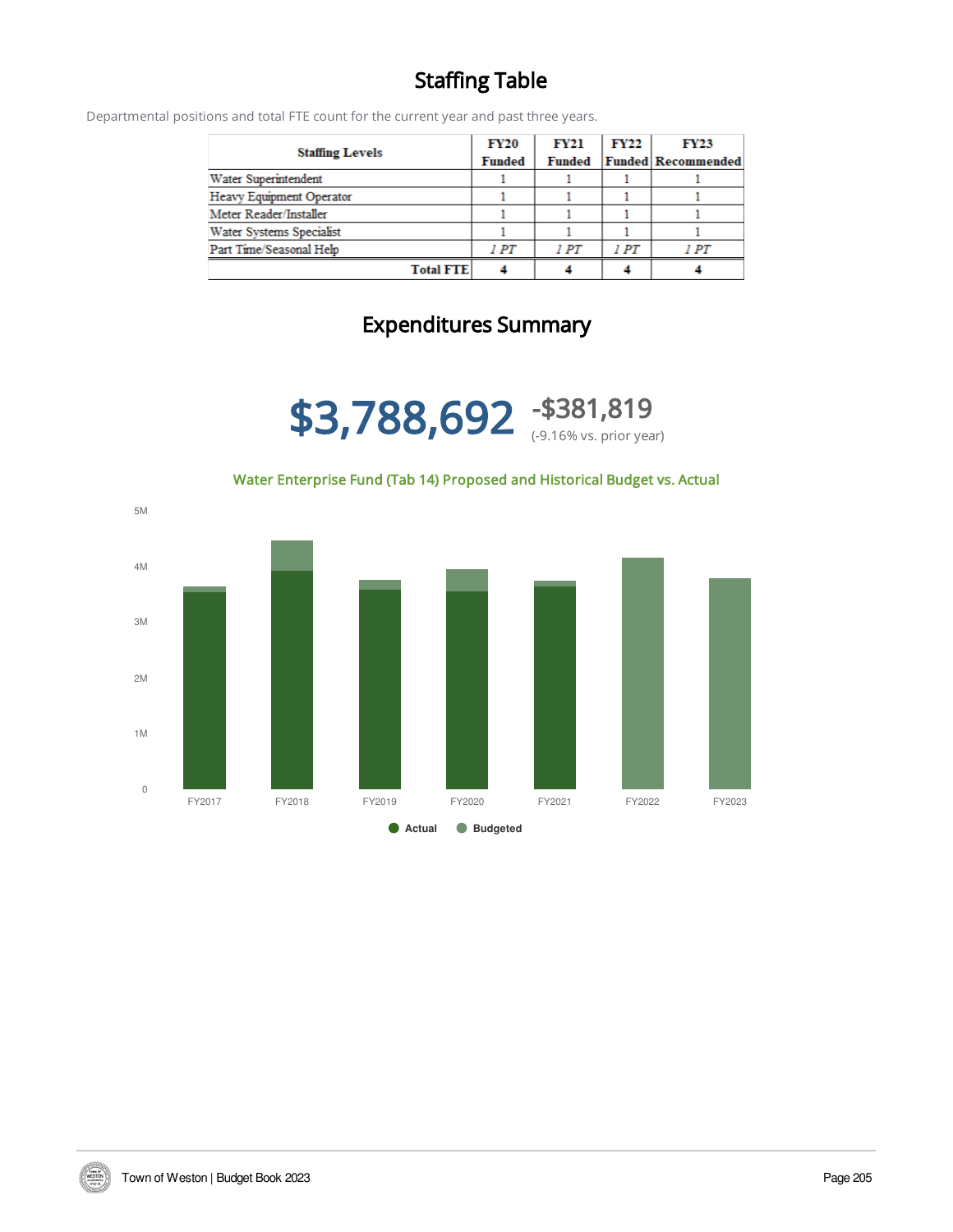# Staffing Table

Departmental positions and total FTE count for the current year and past three years.

|                          | <b>FY20</b>   | <b>FY21</b>   | <b>FY22</b> | <b>FY23</b>               |
|--------------------------|---------------|---------------|-------------|---------------------------|
| <b>Staffing Levels</b>   | <b>Funded</b> | <b>Funded</b> |             | <b>Funded Recommended</b> |
| Water Superintendent     |               |               |             |                           |
| Heavy Equipment Operator |               |               |             |                           |
| Meter Reader/Installer   |               |               |             |                           |
| Water Systems Specialist |               |               |             |                           |
| Part Time/Seasonal Help  | 1 PT          | IPT           | 1 PT        | 1PT                       |
| <b>Total FTE</b>         |               |               |             |                           |

# Expenditures Summary

\$3,788,692 -\$381,819 (-9.16% vs. prior year)

Water Enterprise Fund (Tab 14) Proposed and Historical Budget vs. Actual



**TOWN DE**<br>MESTOR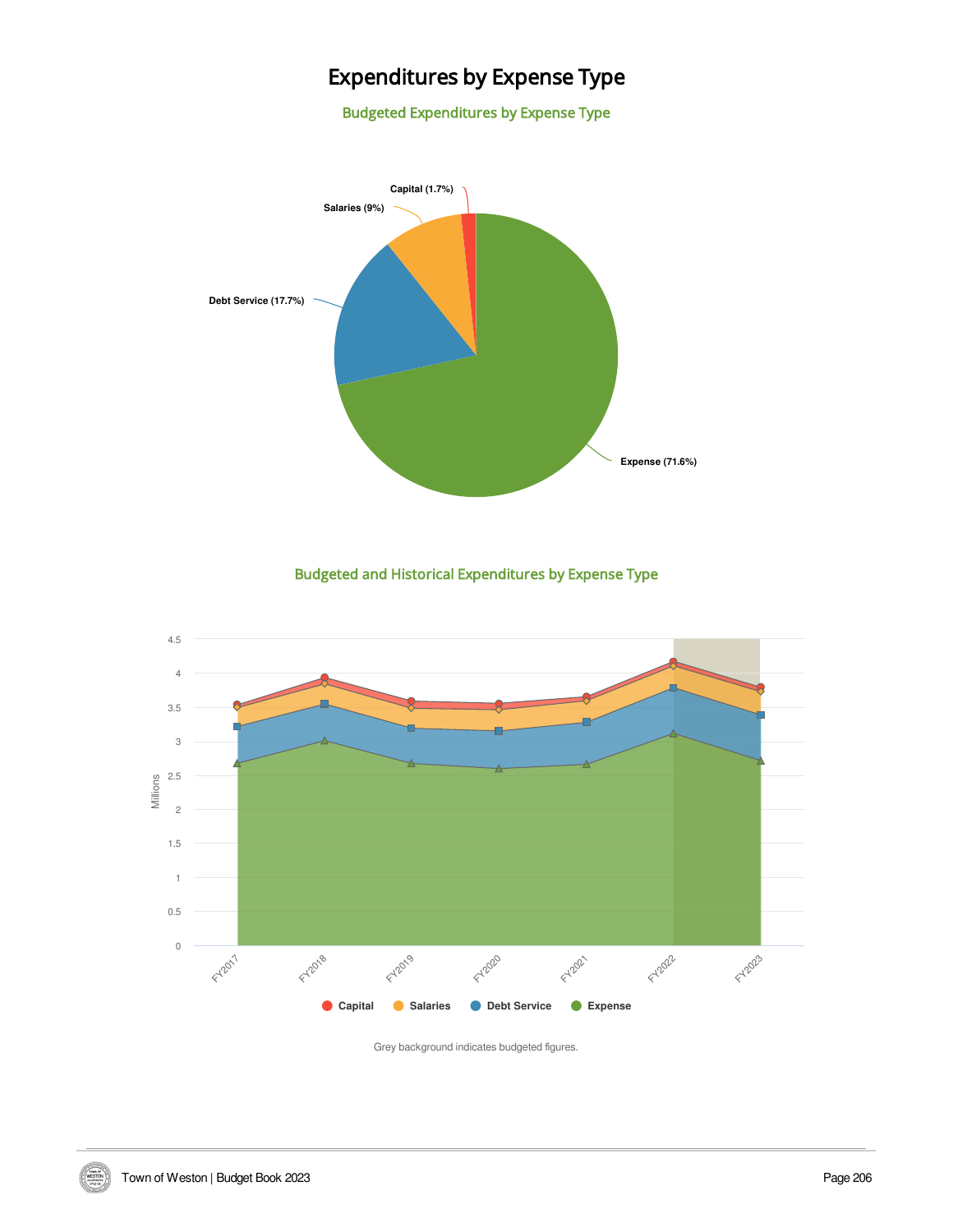# Expenditures by Expense Type

Budgeted Expenditures by Expense Type



Budgeted and Historical Expenditures by Expense Type



Grey background indicates budgeted figures.

WESTON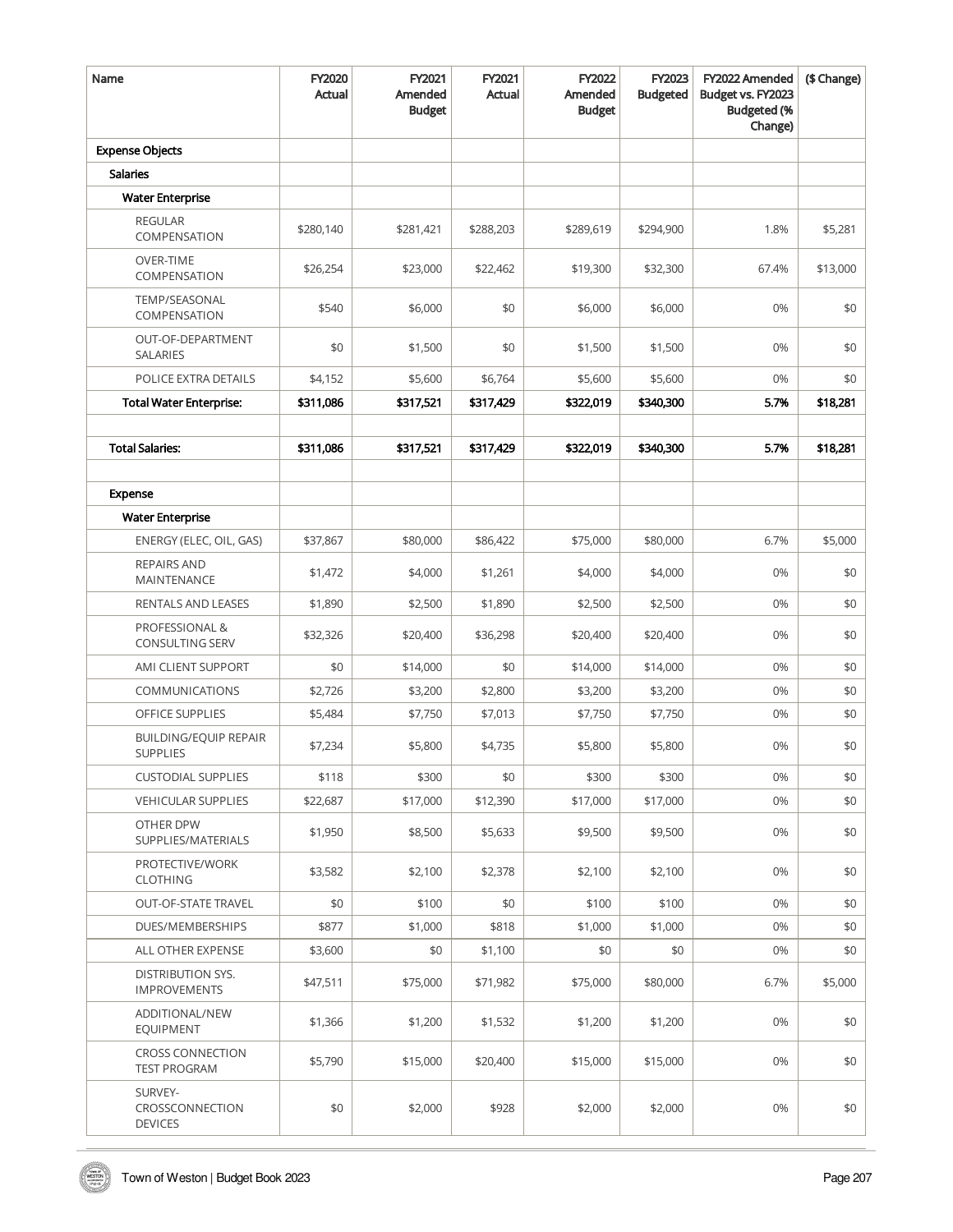| Name                                            | FY2020<br>Actual | FY2021<br>Amended<br><b>Budget</b> | FY2021<br>Actual | FY2022<br>Amended<br><b>Budget</b> | FY2023<br><b>Budgeted</b> | FY2022 Amended<br>Budget vs. FY2023<br><b>Budgeted</b> (%<br>Change) | (\$ Change) |
|-------------------------------------------------|------------------|------------------------------------|------------------|------------------------------------|---------------------------|----------------------------------------------------------------------|-------------|
| <b>Expense Objects</b>                          |                  |                                    |                  |                                    |                           |                                                                      |             |
| <b>Salaries</b>                                 |                  |                                    |                  |                                    |                           |                                                                      |             |
| <b>Water Enterprise</b>                         |                  |                                    |                  |                                    |                           |                                                                      |             |
| <b>REGULAR</b><br>COMPENSATION                  | \$280,140        | \$281,421                          | \$288,203        | \$289,619                          | \$294,900                 | 1.8%                                                                 | \$5,281     |
| <b>OVER-TIME</b><br>COMPENSATION                | \$26,254         | \$23,000                           | \$22,462         | \$19,300                           | \$32,300                  | 67.4%                                                                | \$13,000    |
| TEMP/SEASONAL<br>COMPENSATION                   | \$540            | \$6,000                            | \$0              | \$6,000                            | \$6,000                   | 0%                                                                   | \$0         |
| OUT-OF-DEPARTMENT<br><b>SALARIES</b>            | \$0              | \$1,500                            | \$0              | \$1,500                            | \$1,500                   | 0%                                                                   | \$0         |
| POLICE EXTRA DETAILS                            | \$4,152          | \$5,600                            | \$6,764          | \$5,600                            | \$5,600                   | 0%                                                                   | \$0         |
| <b>Total Water Enterprise:</b>                  | \$311,086        | \$317,521                          | \$317,429        | \$322,019                          | \$340,300                 | 5.7%                                                                 | \$18,281    |
|                                                 |                  |                                    |                  |                                    |                           |                                                                      |             |
| <b>Total Salaries:</b>                          | \$311,086        | \$317,521                          | \$317,429        | \$322,019                          | \$340,300                 | 5.7%                                                                 | \$18,281    |
|                                                 |                  |                                    |                  |                                    |                           |                                                                      |             |
| Expense                                         |                  |                                    |                  |                                    |                           |                                                                      |             |
| <b>Water Enterprise</b>                         |                  |                                    |                  |                                    |                           |                                                                      |             |
| ENERGY (ELEC, OIL, GAS)                         | \$37,867         | \$80,000                           | \$86,422         | \$75,000                           | \$80,000                  | 6.7%                                                                 | \$5,000     |
| REPAIRS AND<br>MAINTENANCE                      | \$1,472          | \$4,000                            | \$1,261          | \$4,000                            | \$4,000                   | 0%                                                                   | \$0         |
| RENTALS AND LEASES                              | \$1,890          | \$2,500                            | \$1,890          | \$2,500                            | \$2,500                   | 0%                                                                   | \$0         |
| PROFESSIONAL &<br><b>CONSULTING SERV</b>        | \$32,326         | \$20,400                           | \$36,298         | \$20,400                           | \$20,400                  | 0%                                                                   | \$0         |
| AMI CLIENT SUPPORT                              | \$0              | \$14,000                           | \$0              | \$14,000                           | \$14,000                  | 0%                                                                   | \$0         |
| <b>COMMUNICATIONS</b>                           | \$2,726          | \$3,200                            | \$2,800          | \$3,200                            | \$3,200                   | 0%                                                                   | \$0         |
| OFFICE SUPPLIES                                 | \$5,484          | \$7,750                            | \$7,013          | \$7,750                            | \$7,750                   | 0%                                                                   | \$0         |
| <b>BUILDING/EQUIP REPAIR</b><br><b>SUPPLIES</b> | \$7,234          | \$5,800                            | \$4,735          | \$5,800                            | \$5,800                   | 0%                                                                   | \$0         |
| <b>CUSTODIAL SUPPLIES</b>                       | \$118            | \$300                              | \$0              | \$300                              | \$300                     | 0%                                                                   | \$0         |
| <b>VEHICULAR SUPPLIES</b>                       | \$22,687         | \$17,000                           | \$12,390         | \$17,000                           | \$17,000                  | 0%                                                                   | \$0         |
| OTHER DPW<br>SUPPLIES/MATERIALS                 | \$1,950          | \$8,500                            | \$5,633          | \$9,500                            | \$9,500                   | 0%                                                                   | \$0         |
| PROTECTIVE/WORK<br><b>CLOTHING</b>              | \$3,582          | \$2,100                            | \$2,378          | \$2,100                            | \$2,100                   | 0%                                                                   | \$0         |
| <b>OUT-OF-STATE TRAVEL</b>                      | \$0              | \$100                              | \$0              | \$100                              | \$100                     | 0%                                                                   | \$0         |
| DUES/MEMBERSHIPS                                | \$877            | \$1,000                            | \$818            | \$1,000                            | \$1,000                   | 0%                                                                   | \$0         |
| ALL OTHER EXPENSE                               | \$3,600          | \$0                                | \$1,100          | \$0                                | \$0                       | 0%                                                                   | \$0         |
| DISTRIBUTION SYS.<br><b>IMPROVEMENTS</b>        | \$47,511         | \$75,000                           | \$71,982         | \$75,000                           | \$80,000                  | 6.7%                                                                 | \$5,000     |
| ADDITIONAL/NEW<br><b>EQUIPMENT</b>              | \$1,366          | \$1,200                            | \$1,532          | \$1,200                            | \$1,200                   | 0%                                                                   | \$0         |
| <b>CROSS CONNECTION</b><br><b>TEST PROGRAM</b>  | \$5,790          | \$15,000                           | \$20,400         | \$15,000                           | \$15,000                  | 0%                                                                   | \$0         |
| SURVEY-<br>CROSSCONNECTION<br><b>DEVICES</b>    | \$0              | \$2,000                            | \$928            | \$2,000                            | \$2,000                   | 0%                                                                   | \$0         |

 $WESTON$